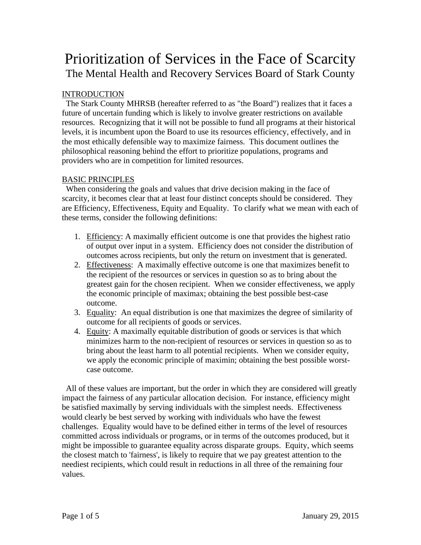# Prioritization of Services in the Face of Scarcity The Mental Health and Recovery Services Board of Stark County

# INTRODUCTION

 The Stark County MHRSB (hereafter referred to as "the Board") realizes that it faces a future of uncertain funding which is likely to involve greater restrictions on available resources. Recognizing that it will not be possible to fund all programs at their historical levels, it is incumbent upon the Board to use its resources efficiency, effectively, and in the most ethically defensible way to maximize fairness. This document outlines the philosophical reasoning behind the effort to prioritize populations, programs and providers who are in competition for limited resources.

# BASIC PRINCIPLES

 When considering the goals and values that drive decision making in the face of scarcity, it becomes clear that at least four distinct concepts should be considered. They are Efficiency, Effectiveness, Equity and Equality. To clarify what we mean with each of these terms, consider the following definitions:

- 1. Efficiency: A maximally efficient outcome is one that provides the highest ratio of output over input in a system. Efficiency does not consider the distribution of outcomes across recipients, but only the return on investment that is generated.
- 2. Effectiveness: A maximally effective outcome is one that maximizes benefit to the recipient of the resources or services in question so as to bring about the greatest gain for the chosen recipient. When we consider effectiveness, we apply the economic principle of maximax; obtaining the best possible best-case outcome.
- 3. Equality: An equal distribution is one that maximizes the degree of similarity of outcome for all recipients of goods or services.
- 4. Equity: A maximally equitable distribution of goods or services is that which minimizes harm to the non-recipient of resources or services in question so as to bring about the least harm to all potential recipients. When we consider equity, we apply the economic principle of maximin; obtaining the best possible worstcase outcome.

 All of these values are important, but the order in which they are considered will greatly impact the fairness of any particular allocation decision. For instance, efficiency might be satisfied maximally by serving individuals with the simplest needs. Effectiveness would clearly be best served by working with individuals who have the fewest challenges. Equality would have to be defined either in terms of the level of resources committed across individuals or programs, or in terms of the outcomes produced, but it might be impossible to guarantee equality across disparate groups. Equity, which seems the closest match to 'fairness', is likely to require that we pay greatest attention to the neediest recipients, which could result in reductions in all three of the remaining four values.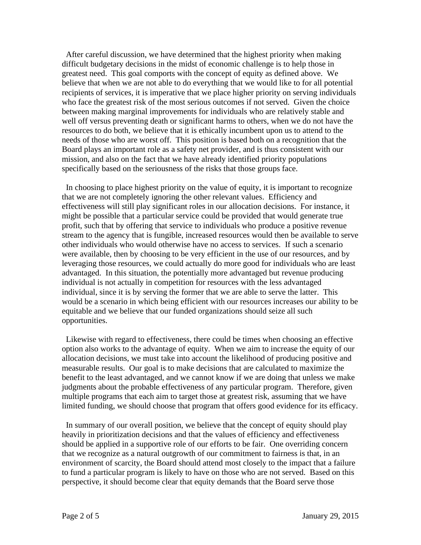After careful discussion, we have determined that the highest priority when making difficult budgetary decisions in the midst of economic challenge is to help those in greatest need. This goal comports with the concept of equity as defined above. We believe that when we are not able to do everything that we would like to for all potential recipients of services, it is imperative that we place higher priority on serving individuals who face the greatest risk of the most serious outcomes if not served. Given the choice between making marginal improvements for individuals who are relatively stable and well off versus preventing death or significant harms to others, when we do not have the resources to do both, we believe that it is ethically incumbent upon us to attend to the needs of those who are worst off. This position is based both on a recognition that the Board plays an important role as a safety net provider, and is thus consistent with our mission, and also on the fact that we have already identified priority populations specifically based on the seriousness of the risks that those groups face.

 In choosing to place highest priority on the value of equity, it is important to recognize that we are not completely ignoring the other relevant values. Efficiency and effectiveness will still play significant roles in our allocation decisions. For instance, it might be possible that a particular service could be provided that would generate true profit, such that by offering that service to individuals who produce a positive revenue stream to the agency that is fungible, increased resources would then be available to serve other individuals who would otherwise have no access to services. If such a scenario were available, then by choosing to be very efficient in the use of our resources, and by leveraging those resources, we could actually do more good for individuals who are least advantaged. In this situation, the potentially more advantaged but revenue producing individual is not actually in competition for resources with the less advantaged individual, since it is by serving the former that we are able to serve the latter. This would be a scenario in which being efficient with our resources increases our ability to be equitable and we believe that our funded organizations should seize all such opportunities.

 Likewise with regard to effectiveness, there could be times when choosing an effective option also works to the advantage of equity. When we aim to increase the equity of our allocation decisions, we must take into account the likelihood of producing positive and measurable results. Our goal is to make decisions that are calculated to maximize the benefit to the least advantaged, and we cannot know if we are doing that unless we make judgments about the probable effectiveness of any particular program. Therefore, given multiple programs that each aim to target those at greatest risk, assuming that we have limited funding, we should choose that program that offers good evidence for its efficacy.

 In summary of our overall position, we believe that the concept of equity should play heavily in prioritization decisions and that the values of efficiency and effectiveness should be applied in a supportive role of our efforts to be fair. One overriding concern that we recognize as a natural outgrowth of our commitment to fairness is that, in an environment of scarcity, the Board should attend most closely to the impact that a failure to fund a particular program is likely to have on those who are not served. Based on this perspective, it should become clear that equity demands that the Board serve those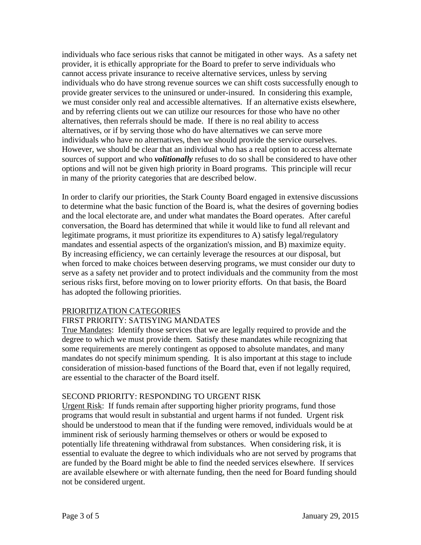individuals who face serious risks that cannot be mitigated in other ways. As a safety net provider, it is ethically appropriate for the Board to prefer to serve individuals who cannot access private insurance to receive alternative services, unless by serving individuals who do have strong revenue sources we can shift costs successfully enough to provide greater services to the uninsured or under-insured. In considering this example, we must consider only real and accessible alternatives. If an alternative exists elsewhere, and by referring clients out we can utilize our resources for those who have no other alternatives, then referrals should be made. If there is no real ability to access alternatives, or if by serving those who do have alternatives we can serve more individuals who have no alternatives, then we should provide the service ourselves. However, we should be clear that an individual who has a real option to access alternate sources of support and who *volitionally* refuses to do so shall be considered to have other options and will not be given high priority in Board programs. This principle will recur in many of the priority categories that are described below.

In order to clarify our priorities, the Stark County Board engaged in extensive discussions to determine what the basic function of the Board is, what the desires of governing bodies and the local electorate are, and under what mandates the Board operates. After careful conversation, the Board has determined that while it would like to fund all relevant and legitimate programs, it must prioritize its expenditures to A) satisfy legal/regulatory mandates and essential aspects of the organization's mission, and B) maximize equity. By increasing efficiency, we can certainly leverage the resources at our disposal, but when forced to make choices between deserving programs, we must consider our duty to serve as a safety net provider and to protect individuals and the community from the most serious risks first, before moving on to lower priority efforts. On that basis, the Board has adopted the following priorities.

#### PRIORITIZATION CATEGORIES

## FIRST PRIORITY: SATISYING MANDATES

True Mandates: Identify those services that we are legally required to provide and the degree to which we must provide them. Satisfy these mandates while recognizing that some requirements are merely contingent as opposed to absolute mandates, and many mandates do not specify minimum spending. It is also important at this stage to include consideration of mission-based functions of the Board that, even if not legally required, are essential to the character of the Board itself.

#### SECOND PRIORITY: RESPONDING TO URGENT RISK

Urgent Risk: If funds remain after supporting higher priority programs, fund those programs that would result in substantial and urgent harms if not funded. Urgent risk should be understood to mean that if the funding were removed, individuals would be at imminent risk of seriously harming themselves or others or would be exposed to potentially life threatening withdrawal from substances. When considering risk, it is essential to evaluate the degree to which individuals who are not served by programs that are funded by the Board might be able to find the needed services elsewhere. If services are available elsewhere or with alternate funding, then the need for Board funding should not be considered urgent.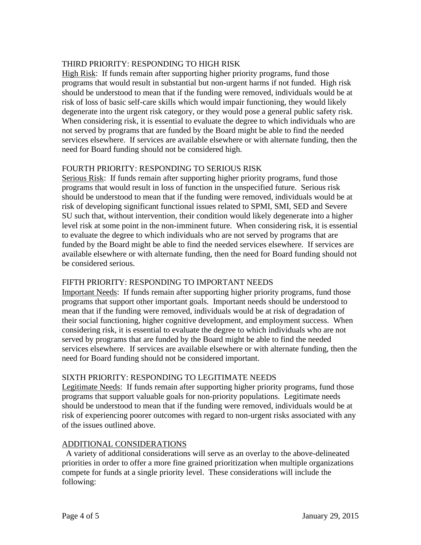# THIRD PRIORITY: RESPONDING TO HIGH RISK

High Risk: If funds remain after supporting higher priority programs, fund those programs that would result in substantial but non-urgent harms if not funded. High risk should be understood to mean that if the funding were removed, individuals would be at risk of loss of basic self-care skills which would impair functioning, they would likely degenerate into the urgent risk category, or they would pose a general public safety risk. When considering risk, it is essential to evaluate the degree to which individuals who are not served by programs that are funded by the Board might be able to find the needed services elsewhere. If services are available elsewhere or with alternate funding, then the need for Board funding should not be considered high.

# FOURTH PRIORITY: RESPONDING TO SERIOUS RISK

Serious Risk: If funds remain after supporting higher priority programs, fund those programs that would result in loss of function in the unspecified future. Serious risk should be understood to mean that if the funding were removed, individuals would be at risk of developing significant functional issues related to SPMI, SMI, SED and Severe SU such that, without intervention, their condition would likely degenerate into a higher level risk at some point in the non-imminent future. When considering risk, it is essential to evaluate the degree to which individuals who are not served by programs that are funded by the Board might be able to find the needed services elsewhere. If services are available elsewhere or with alternate funding, then the need for Board funding should not be considered serious.

## FIFTH PRIORITY: RESPONDING TO IMPORTANT NEEDS

Important Needs: If funds remain after supporting higher priority programs, fund those programs that support other important goals. Important needs should be understood to mean that if the funding were removed, individuals would be at risk of degradation of their social functioning, higher cognitive development, and employment success. When considering risk, it is essential to evaluate the degree to which individuals who are not served by programs that are funded by the Board might be able to find the needed services elsewhere. If services are available elsewhere or with alternate funding, then the need for Board funding should not be considered important.

## SIXTH PRIORITY: RESPONDING TO LEGITIMATE NEEDS

Legitimate Needs: If funds remain after supporting higher priority programs, fund those programs that support valuable goals for non-priority populations. Legitimate needs should be understood to mean that if the funding were removed, individuals would be at risk of experiencing poorer outcomes with regard to non-urgent risks associated with any of the issues outlined above.

## ADDITIONAL CONSIDERATIONS

 A variety of additional considerations will serve as an overlay to the above-delineated priorities in order to offer a more fine grained prioritization when multiple organizations compete for funds at a single priority level. These considerations will include the following: